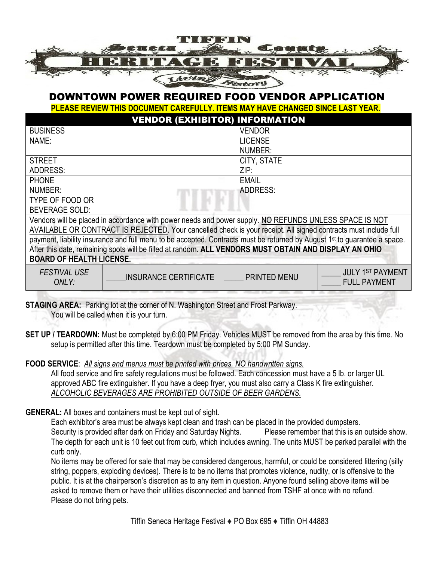

## DOWNTOWN POWER REQUIRED FOOD VENDOR APPLICATION

**PLEASE REVIEW THIS DOCUMENT CAREFULLY. ITEMS MAY HAVE CHANGED SINCE LAST YEAR.**

|                                                                                                                           | <b>VENDOR (EXHIBITOR) INFORMATION</b> |                     |  |                                                |  |  |
|---------------------------------------------------------------------------------------------------------------------------|---------------------------------------|---------------------|--|------------------------------------------------|--|--|
| <b>BUSINESS</b>                                                                                                           |                                       | <b>VENDOR</b>       |  |                                                |  |  |
| NAME:                                                                                                                     |                                       | <b>LICENSE</b>      |  |                                                |  |  |
|                                                                                                                           |                                       | NUMBER:             |  |                                                |  |  |
| <b>STREET</b>                                                                                                             |                                       | CITY, STATE         |  |                                                |  |  |
| <b>ADDRESS:</b>                                                                                                           |                                       | ZIP:                |  |                                                |  |  |
| <b>PHONE</b>                                                                                                              |                                       | <b>EMAIL</b>        |  |                                                |  |  |
| NUMBER:                                                                                                                   |                                       | ADDRESS:            |  |                                                |  |  |
| TYPE OF FOOD OR                                                                                                           |                                       |                     |  |                                                |  |  |
| <b>BEVERAGE SOLD:</b>                                                                                                     |                                       |                     |  |                                                |  |  |
| Vendors will be placed in accordance with power needs and power supply. NO REFUNDS UNLESS SPACE IS NOT                    |                                       |                     |  |                                                |  |  |
| AVAILABLE OR CONTRACT IS REJECTED. Your cancelled check is your receipt. All signed contracts must include full           |                                       |                     |  |                                                |  |  |
| payment, liability insurance and full menu to be accepted. Contracts must be returned by August 1st to guarantee a space. |                                       |                     |  |                                                |  |  |
| After this date, remaining spots will be filled at random. ALL VENDORS MUST OBTAIN AND DISPLAY AN OHIO                    |                                       |                     |  |                                                |  |  |
| <b>BOARD OF HEALTH LICENSE.</b>                                                                                           |                                       |                     |  |                                                |  |  |
| <b>FESTIVAL USE</b><br>ONLY:                                                                                              | INSURANCE CERTIFICATE                 | <b>PRINTED MENU</b> |  | <b>JULY 1ST PAYMENT</b><br><b>FULL PAYMENT</b> |  |  |

**STAGING AREA:** Parking lot at the corner of N. Washington Street and Frost Parkway. You will be called when it is your turn.

**SET UP / TEARDOWN:** Must be completed by 6:00 PM Friday. Vehicles MUST be removed from the area by this time. No setup is permitted after this time. Teardown must be completed by 5:00 PM Sunday.

**FOOD SERVICE**: *All signs and menus must be printed with prices. NO handwritten signs.*

All food service and fire safety regulations must be followed. Each concession must have a 5 lb. or larger UL approved ABC fire extinguisher. If you have a deep fryer, you must also carry a Class K fire extinguisher. *ALCOHOLIC BEVERAGES ARE PROHIBITED OUTSIDE OF BEER GARDENS.*

**GENERAL:** All boxes and containers must be kept out of sight.

Each exhibitor's area must be always kept clean and trash can be placed in the provided dumpsters.

Security is provided after dark on Friday and Saturday Nights. Please remember that this is an outside show. The depth for each unit is 10 feet out from curb, which includes awning. The units MUST be parked parallel with the curb only.

No items may be offered for sale that may be considered dangerous, harmful, or could be considered littering (silly string, poppers, exploding devices). There is to be no items that promotes violence, nudity, or is offensive to the public. It is at the chairperson's discretion as to any item in question. Anyone found selling above items will be asked to remove them or have their utilities disconnected and banned from TSHF at once with no refund. Please do not bring pets.

Tiffin Seneca Heritage Festival ♦ PO Box 695 ♦ Tiffin OH 44883